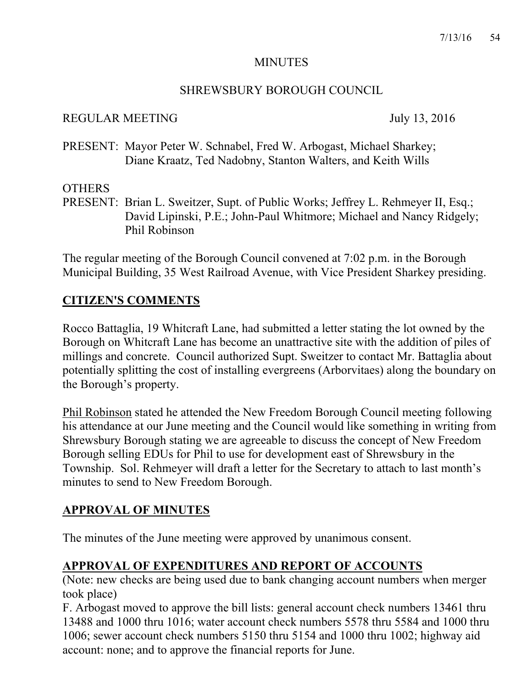## MINUTES

## SHREWSBURY BOROUGH COUNCIL

## REGULAR MEETING July 13, 2016

PRESENT: Mayor Peter W. Schnabel, Fred W. Arbogast, Michael Sharkey; Diane Kraatz, Ted Nadobny, Stanton Walters, and Keith Wills

## **OTHERS**

PRESENT: Brian L. Sweitzer, Supt. of Public Works; Jeffrey L. Rehmeyer II, Esq.; David Lipinski, P.E.; John-Paul Whitmore; Michael and Nancy Ridgely; Phil Robinson

The regular meeting of the Borough Council convened at 7:02 p.m. in the Borough Municipal Building, 35 West Railroad Avenue, with Vice President Sharkey presiding.

# **CITIZEN'S COMMENTS**

Rocco Battaglia, 19 Whitcraft Lane, had submitted a letter stating the lot owned by the Borough on Whitcraft Lane has become an unattractive site with the addition of piles of millings and concrete. Council authorized Supt. Sweitzer to contact Mr. Battaglia about potentially splitting the cost of installing evergreens (Arborvitaes) along the boundary on the Borough's property.

Phil Robinson stated he attended the New Freedom Borough Council meeting following his attendance at our June meeting and the Council would like something in writing from Shrewsbury Borough stating we are agreeable to discuss the concept of New Freedom Borough selling EDUs for Phil to use for development east of Shrewsbury in the Township. Sol. Rehmeyer will draft a letter for the Secretary to attach to last month's minutes to send to New Freedom Borough.

# **APPROVAL OF MINUTES**

The minutes of the June meeting were approved by unanimous consent.

# **APPROVAL OF EXPENDITURES AND REPORT OF ACCOUNTS**

(Note: new checks are being used due to bank changing account numbers when merger took place)

F. Arbogast moved to approve the bill lists: general account check numbers 13461 thru 13488 and 1000 thru 1016; water account check numbers 5578 thru 5584 and 1000 thru 1006; sewer account check numbers 5150 thru 5154 and 1000 thru 1002; highway aid account: none; and to approve the financial reports for June.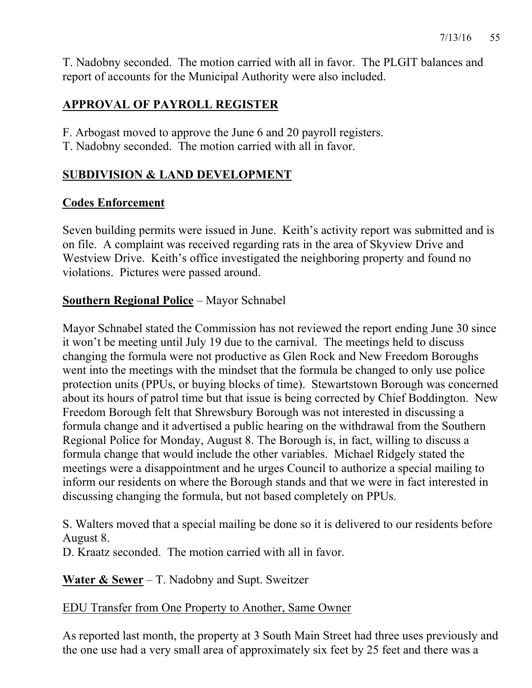T. Nadobny seconded. The motion carried with all in favor. The PLGIT balances and report of accounts for the Municipal Authority were also included.

# **APPROVAL OF PAYROLL REGISTER**

F. Arbogast moved to approve the June 6 and 20 payroll registers.

T. Nadobny seconded. The motion carried with all in favor.

# **SUBDIVISION & LAND DEVELOPMENT**

# **Codes Enforcement**

Seven building permits were issued in June. Keith's activity report was submitted and is on file. A complaint was received regarding rats in the area of Skyview Drive and Westview Drive. Keith's office investigated the neighboring property and found no violations. Pictures were passed around.

# **Southern Regional Police** – Mayor Schnabel

Mayor Schnabel stated the Commission has not reviewed the report ending June 30 since it won't be meeting until July 19 due to the carnival. The meetings held to discuss changing the formula were not productive as Glen Rock and New Freedom Boroughs went into the meetings with the mindset that the formula be changed to only use police protection units (PPUs, or buying blocks of time). Stewartstown Borough was concerned about its hours of patrol time but that issue is being corrected by Chief Boddington. New Freedom Borough felt that Shrewsbury Borough was not interested in discussing a formula change and it advertised a public hearing on the withdrawal from the Southern Regional Police for Monday, August 8. The Borough is, in fact, willing to discuss a formula change that would include the other variables. Michael Ridgely stated the meetings were a disappointment and he urges Council to authorize a special mailing to inform our residents on where the Borough stands and that we were in fact interested in discussing changing the formula, but not based completely on PPUs.

S. Walters moved that a special mailing be done so it is delivered to our residents before August 8.

D. Kraatz seconded. The motion carried with all in favor.

**Water & Sewer** – T. Nadobny and Supt. Sweitzer

### EDU Transfer from One Property to Another, Same Owner

As reported last month, the property at 3 South Main Street had three uses previously and the one use had a very small area of approximately six feet by 25 feet and there was a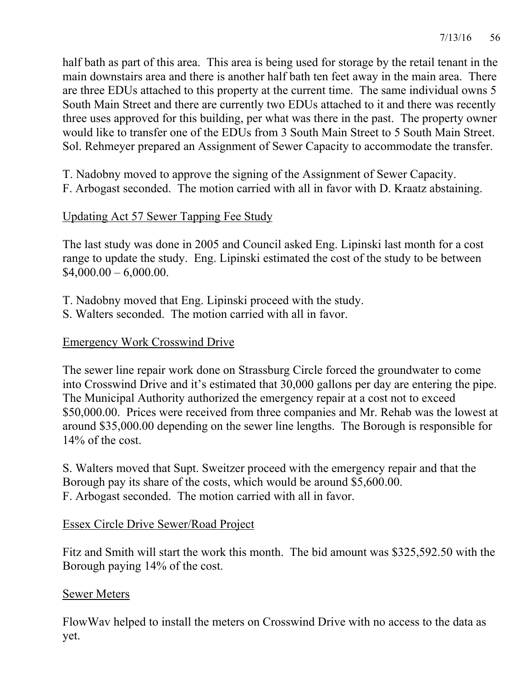half bath as part of this area. This area is being used for storage by the retail tenant in the main downstairs area and there is another half bath ten feet away in the main area. There are three EDUs attached to this property at the current time. The same individual owns 5 South Main Street and there are currently two EDUs attached to it and there was recently three uses approved for this building, per what was there in the past. The property owner would like to transfer one of the EDUs from 3 South Main Street to 5 South Main Street. Sol. Rehmeyer prepared an Assignment of Sewer Capacity to accommodate the transfer.

T. Nadobny moved to approve the signing of the Assignment of Sewer Capacity.

F. Arbogast seconded. The motion carried with all in favor with D. Kraatz abstaining.

# Updating Act 57 Sewer Tapping Fee Study

The last study was done in 2005 and Council asked Eng. Lipinski last month for a cost range to update the study. Eng. Lipinski estimated the cost of the study to be between  $$4,000.00 - 6,000.00.$ 

- T. Nadobny moved that Eng. Lipinski proceed with the study.
- S. Walters seconded. The motion carried with all in favor.

# Emergency Work Crosswind Drive

The sewer line repair work done on Strassburg Circle forced the groundwater to come into Crosswind Drive and it's estimated that 30,000 gallons per day are entering the pipe. The Municipal Authority authorized the emergency repair at a cost not to exceed \$50,000.00. Prices were received from three companies and Mr. Rehab was the lowest at around \$35,000.00 depending on the sewer line lengths. The Borough is responsible for 14% of the cost.

S. Walters moved that Supt. Sweitzer proceed with the emergency repair and that the Borough pay its share of the costs, which would be around \$5,600.00. F. Arbogast seconded. The motion carried with all in favor.

# Essex Circle Drive Sewer/Road Project

Fitz and Smith will start the work this month. The bid amount was \$325,592.50 with the Borough paying 14% of the cost.

# Sewer Meters

FlowWav helped to install the meters on Crosswind Drive with no access to the data as yet.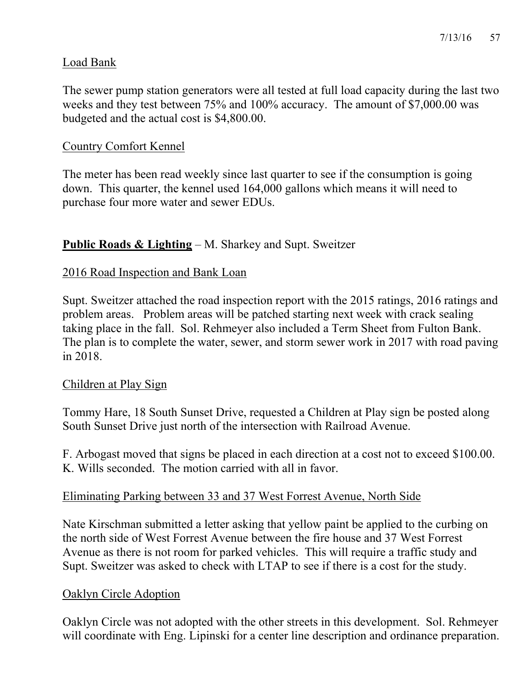## Load Bank

The sewer pump station generators were all tested at full load capacity during the last two weeks and they test between 75% and 100% accuracy. The amount of \$7,000.00 was budgeted and the actual cost is \$4,800.00.

## Country Comfort Kennel

The meter has been read weekly since last quarter to see if the consumption is going down. This quarter, the kennel used 164,000 gallons which means it will need to purchase four more water and sewer EDUs.

# **Public Roads & Lighting** – M. Sharkey and Supt. Sweitzer

### 2016 Road Inspection and Bank Loan

Supt. Sweitzer attached the road inspection report with the 2015 ratings, 2016 ratings and problem areas. Problem areas will be patched starting next week with crack sealing taking place in the fall. Sol. Rehmeyer also included a Term Sheet from Fulton Bank. The plan is to complete the water, sewer, and storm sewer work in 2017 with road paving in 2018.

### Children at Play Sign

Tommy Hare, 18 South Sunset Drive, requested a Children at Play sign be posted along South Sunset Drive just north of the intersection with Railroad Avenue.

F. Arbogast moved that signs be placed in each direction at a cost not to exceed \$100.00. K. Wills seconded. The motion carried with all in favor.

### Eliminating Parking between 33 and 37 West Forrest Avenue, North Side

Nate Kirschman submitted a letter asking that yellow paint be applied to the curbing on the north side of West Forrest Avenue between the fire house and 37 West Forrest Avenue as there is not room for parked vehicles. This will require a traffic study and Supt. Sweitzer was asked to check with LTAP to see if there is a cost for the study.

### Oaklyn Circle Adoption

Oaklyn Circle was not adopted with the other streets in this development. Sol. Rehmeyer will coordinate with Eng. Lipinski for a center line description and ordinance preparation.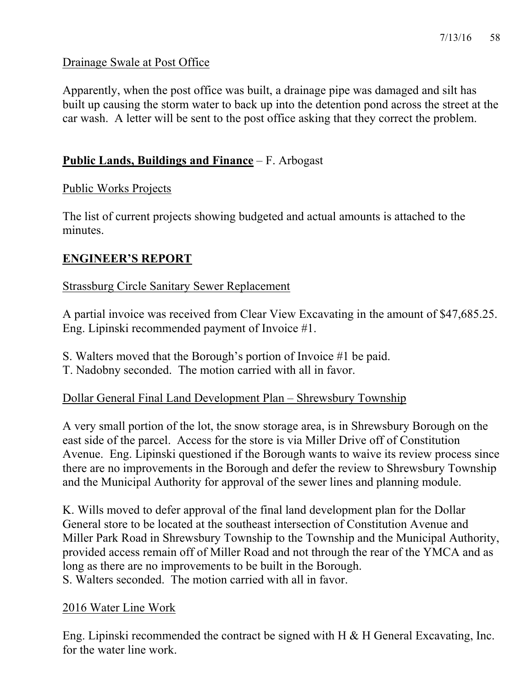### Drainage Swale at Post Office

Apparently, when the post office was built, a drainage pipe was damaged and silt has built up causing the storm water to back up into the detention pond across the street at the car wash. A letter will be sent to the post office asking that they correct the problem.

## **Public Lands, Buildings and Finance** – F. Arbogast

## Public Works Projects

The list of current projects showing budgeted and actual amounts is attached to the minutes.

# **ENGINEER'S REPORT**

## Strassburg Circle Sanitary Sewer Replacement

A partial invoice was received from Clear View Excavating in the amount of \$47,685.25. Eng. Lipinski recommended payment of Invoice #1.

- S. Walters moved that the Borough's portion of Invoice #1 be paid.
- T. Nadobny seconded. The motion carried with all in favor.

# Dollar General Final Land Development Plan – Shrewsbury Township

A very small portion of the lot, the snow storage area, is in Shrewsbury Borough on the east side of the parcel. Access for the store is via Miller Drive off of Constitution Avenue. Eng. Lipinski questioned if the Borough wants to waive its review process since there are no improvements in the Borough and defer the review to Shrewsbury Township and the Municipal Authority for approval of the sewer lines and planning module.

K. Wills moved to defer approval of the final land development plan for the Dollar General store to be located at the southeast intersection of Constitution Avenue and Miller Park Road in Shrewsbury Township to the Township and the Municipal Authority, provided access remain off of Miller Road and not through the rear of the YMCA and as long as there are no improvements to be built in the Borough. S. Walters seconded. The motion carried with all in favor.

### 2016 Water Line Work

Eng. Lipinski recommended the contract be signed with H & H General Excavating, Inc. for the water line work.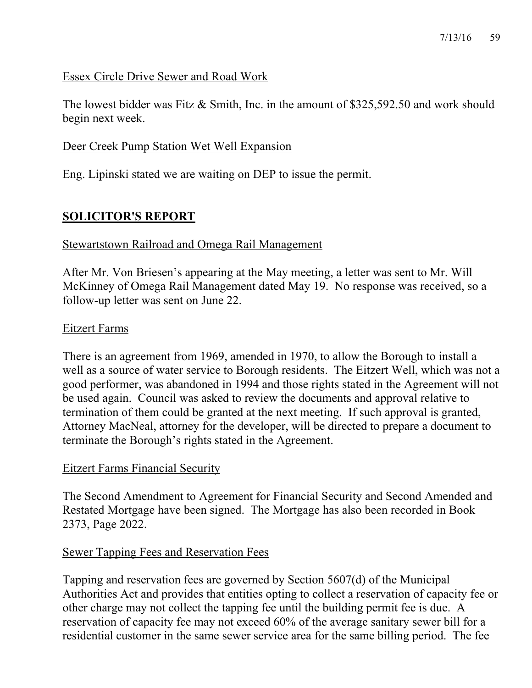#### Essex Circle Drive Sewer and Road Work

The lowest bidder was Fitz & Smith, Inc. in the amount of \$325,592.50 and work should begin next week.

#### Deer Creek Pump Station Wet Well Expansion

Eng. Lipinski stated we are waiting on DEP to issue the permit.

## **SOLICITOR'S REPORT**

#### Stewartstown Railroad and Omega Rail Management

After Mr. Von Briesen's appearing at the May meeting, a letter was sent to Mr. Will McKinney of Omega Rail Management dated May 19. No response was received, so a follow-up letter was sent on June 22.

#### Eitzert Farms

There is an agreement from 1969, amended in 1970, to allow the Borough to install a well as a source of water service to Borough residents. The Eitzert Well, which was not a good performer, was abandoned in 1994 and those rights stated in the Agreement will not be used again. Council was asked to review the documents and approval relative to termination of them could be granted at the next meeting. If such approval is granted, Attorney MacNeal, attorney for the developer, will be directed to prepare a document to terminate the Borough's rights stated in the Agreement.

#### Eitzert Farms Financial Security

The Second Amendment to Agreement for Financial Security and Second Amended and Restated Mortgage have been signed. The Mortgage has also been recorded in Book 2373, Page 2022.

#### Sewer Tapping Fees and Reservation Fees

Tapping and reservation fees are governed by Section 5607(d) of the Municipal Authorities Act and provides that entities opting to collect a reservation of capacity fee or other charge may not collect the tapping fee until the building permit fee is due. A reservation of capacity fee may not exceed 60% of the average sanitary sewer bill for a residential customer in the same sewer service area for the same billing period. The fee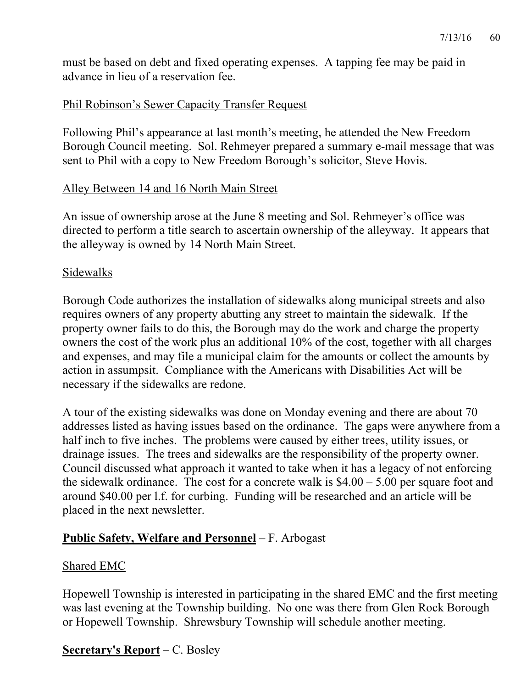must be based on debt and fixed operating expenses. A tapping fee may be paid in advance in lieu of a reservation fee.

# Phil Robinson's Sewer Capacity Transfer Request

Following Phil's appearance at last month's meeting, he attended the New Freedom Borough Council meeting. Sol. Rehmeyer prepared a summary e-mail message that was sent to Phil with a copy to New Freedom Borough's solicitor, Steve Hovis.

## Alley Between 14 and 16 North Main Street

An issue of ownership arose at the June 8 meeting and Sol. Rehmeyer's office was directed to perform a title search to ascertain ownership of the alleyway. It appears that the alleyway is owned by 14 North Main Street.

### Sidewalks

Borough Code authorizes the installation of sidewalks along municipal streets and also requires owners of any property abutting any street to maintain the sidewalk. If the property owner fails to do this, the Borough may do the work and charge the property owners the cost of the work plus an additional 10% of the cost, together with all charges and expenses, and may file a municipal claim for the amounts or collect the amounts by action in assumpsit. Compliance with the Americans with Disabilities Act will be necessary if the sidewalks are redone.

A tour of the existing sidewalks was done on Monday evening and there are about 70 addresses listed as having issues based on the ordinance. The gaps were anywhere from a half inch to five inches. The problems were caused by either trees, utility issues, or drainage issues. The trees and sidewalks are the responsibility of the property owner. Council discussed what approach it wanted to take when it has a legacy of not enforcing the sidewalk ordinance. The cost for a concrete walk is  $$4.00 - 5.00$  per square foot and around \$40.00 per l.f. for curbing. Funding will be researched and an article will be placed in the next newsletter.

# **Public Safety, Welfare and Personnel** – F. Arbogast

### Shared EMC

Hopewell Township is interested in participating in the shared EMC and the first meeting was last evening at the Township building. No one was there from Glen Rock Borough or Hopewell Township. Shrewsbury Township will schedule another meeting.

# **Secretary's Report** – C. Bosley